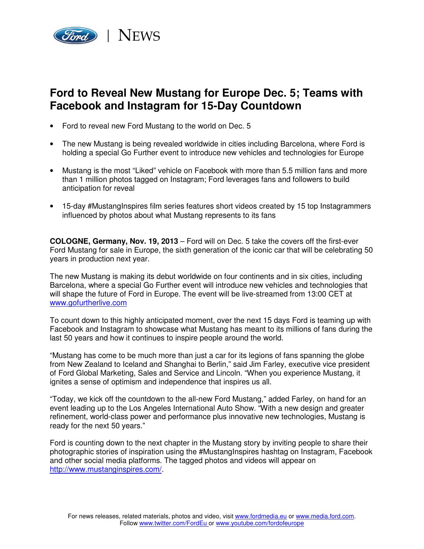

## **Ford to Reveal New Mustang for Europe Dec. 5; Teams with Facebook and Instagram for 15-Day Countdown**

- Ford to reveal new Ford Mustang to the world on Dec. 5
- The new Mustang is being revealed worldwide in cities including Barcelona, where Ford is holding a special Go Further event to introduce new vehicles and technologies for Europe
- Mustang is the most "Liked" vehicle on Facebook with more than 5.5 million fans and more than 1 million photos tagged on Instagram; Ford leverages fans and followers to build anticipation for reveal
- 15-day #MustangInspires film series features short videos created by 15 top Instagrammers influenced by photos about what Mustang represents to its fans

**COLOGNE, Germany, Nov. 19, 2013** – Ford will on Dec. 5 take the covers off the first-ever Ford Mustang for sale in Europe, the sixth generation of the iconic car that will be celebrating 50 years in production next year.

The new Mustang is making its debut worldwide on four continents and in six cities, including Barcelona, where a special Go Further event will introduce new vehicles and technologies that will shape the future of Ford in Europe. The event will be live-streamed from 13:00 CET at www.gofurtherlive.com

To count down to this highly anticipated moment, over the next 15 days Ford is teaming up with Facebook and Instagram to showcase what Mustang has meant to its millions of fans during the last 50 years and how it continues to inspire people around the world.

"Mustang has come to be much more than just a car for its legions of fans spanning the globe from New Zealand to Iceland and Shanghai to Berlin," said Jim Farley, executive vice president of Ford Global Marketing, Sales and Service and Lincoln. "When you experience Mustang, it ignites a sense of optimism and independence that inspires us all.

"Today, we kick off the countdown to the all-new Ford Mustang," added Farley, on hand for an event leading up to the Los Angeles International Auto Show. "With a new design and greater refinement, world-class power and performance plus innovative new technologies, Mustang is ready for the next 50 years."

Ford is counting down to the next chapter in the Mustang story by inviting people to share their photographic stories of inspiration using the #MustangInspires hashtag on Instagram, Facebook and other social media platforms. The tagged photos and videos will appear on http://www.mustanginspires.com/.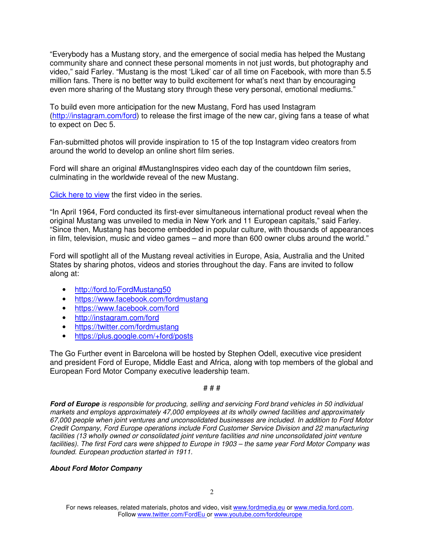"Everybody has a Mustang story, and the emergence of social media has helped the Mustang community share and connect these personal moments in not just words, but photography and video," said Farley. "Mustang is the most 'Liked' car of all time on Facebook, with more than 5.5 million fans. There is no better way to build excitement for what's next than by encouraging even more sharing of the Mustang story through these very personal, emotional mediums."

To build even more anticipation for the new Mustang, Ford has used Instagram (http://instagram.com/ford) to release the first image of the new car, giving fans a tease of what to expect on Dec 5.

Fan-submitted photos will provide inspiration to 15 of the top Instagram video creators from around the world to develop an online short film series.

Ford will share an original #MustangInspires video each day of the countdown film series, culminating in the worldwide reveal of the new Mustang.

Click here to view the first video in the series.

"In April 1964, Ford conducted its first-ever simultaneous international product reveal when the original Mustang was unveiled to media in New York and 11 European capitals," said Farley. "Since then, Mustang has become embedded in popular culture, with thousands of appearances in film, television, music and video games – and more than 600 owner clubs around the world."

Ford will spotlight all of the Mustang reveal activities in Europe, Asia, Australia and the United States by sharing photos, videos and stories throughout the day. Fans are invited to follow along at:

- http://ford.to/FordMustang50
- https://www.facebook.com/fordmustang
- https://www.facebook.com/ford
- http://instagram.com/ford
- https://twitter.com/fordmustang
- https://plus.google.com/+ford/posts

The Go Further event in Barcelona will be hosted by Stephen Odell, executive vice president and president Ford of Europe, Middle East and Africa, along with top members of the global and European Ford Motor Company executive leadership team.

## # # #

**Ford of Europe** is responsible for producing, selling and servicing Ford brand vehicles in 50 individual markets and employs approximately 47,000 employees at its wholly owned facilities and approximately 67,000 people when joint ventures and unconsolidated businesses are included. In addition to Ford Motor Credit Company, Ford Europe operations include Ford Customer Service Division and 22 manufacturing facilities (13 wholly owned or consolidated joint venture facilities and nine unconsolidated joint venture facilities). The first Ford cars were shipped to Europe in 1903 – the same year Ford Motor Company was founded. European production started in 1911.

## **About Ford Motor Company**

For news releases, related materials, photos and video, visit www.fordmedia.eu or www.media.ford.com. Follow www.twitter.com/FordEu or www.youtube.com/fordofeurope